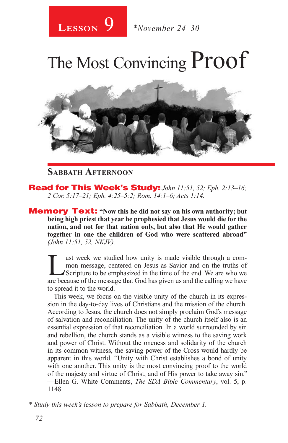# The Most Convincing Proof



### **Sabbath Afternoon**

Read for This Week's Study: *John 11:51, 52; Eph. 2:13–16; 2 Cor. 5:17–21; Eph. 4:25–5:2; Rom. 14:1–6; Acts 1:14.*

**Memory Text:** "Now this he did not say on his own authority; but **being high priest that year he prophesied that Jesus would die for the nation, and not for that nation only, but also that He would gather together in one the children of God who were scattered abroad"** *(John 11:51, 52, NKJV).* 

T<br>
I ast week we studied how unity is made visible through a com-<br>
mon message, centered on Jesus as Savior and on the truths of<br>
Scripture to be emphasized in the time of the end. We are who we<br>
are because of the message mon message, centered on Jesus as Savior and on the truths of are because of the message that God has given us and the calling we have to spread it to the world.

This week, we focus on the visible unity of the church in its expression in the day-to-day lives of Christians and the mission of the church. According to Jesus, the church does not simply proclaim God's message of salvation and reconciliation. The unity of the church itself also is an essential expression of that reconciliation. In a world surrounded by sin and rebellion, the church stands as a visible witness to the saving work and power of Christ. Without the oneness and solidarity of the church in its common witness, the saving power of the Cross would hardly be apparent in this world. "Unity with Christ establishes a bond of unity with one another. This unity is the most convincing proof to the world of the majesty and virtue of Christ, and of His power to take away sin." —Ellen G. White Comments, *The SDA Bible Commentary*, vol. 5, p. 1148.

*\* Study this week's lesson to prepare for Sabbath, December 1.*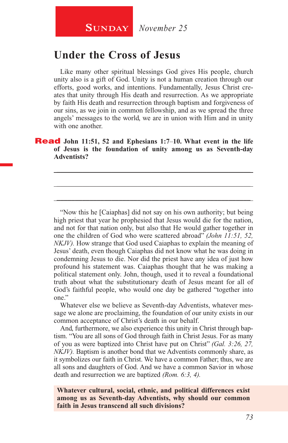## **Under the Cross of Jesus**

Like many other spiritual blessings God gives His people, church unity also is a gift of God. Unity is not a human creation through our efforts, good works, and intentions. Fundamentally, Jesus Christ creates that unity through His death and resurrection. As we appropriate by faith His death and resurrection through baptism and forgiveness of our sins, as we join in common fellowship, and as we spread the three angels' messages to the world, we are in union with Him and in unity with one another.

#### Read **John 11:51, 52 and Ephesians 1:7***–***10. What event in the life of Jesus is the foundation of unity among us as Seventh-day Adventists?**

\_\_\_\_\_\_\_\_\_\_\_\_\_\_\_\_\_\_\_\_\_\_\_\_\_\_\_\_\_\_\_\_\_\_\_\_\_\_\_\_\_\_\_\_\_\_\_\_\_\_\_\_\_

\_\_\_\_\_\_\_\_\_\_\_\_\_\_\_\_\_\_\_\_\_\_\_\_\_\_\_\_\_\_\_\_\_\_\_\_\_\_\_\_\_\_\_\_\_\_\_\_\_\_\_\_\_

\_\_\_\_\_\_\_\_\_\_\_\_\_\_\_\_\_\_\_\_\_\_\_\_\_\_\_\_\_\_\_\_\_\_\_\_\_\_\_\_\_\_\_\_\_\_\_\_\_\_\_\_\_

"Now this he [Caiaphas] did not say on his own authority; but being high priest that year he prophesied that Jesus would die for the nation, and not for that nation only, but also that He would gather together in one the children of God who were scattered abroad" *(John 11:51, 52, NKJV).* How strange that God used Caiaphas to explain the meaning of Jesus' death, even though Caiaphas did not know what he was doing in condemning Jesus to die. Nor did the priest have any idea of just how profound his statement was. Caiaphas thought that he was making a political statement only. John, though, used it to reveal a foundational truth about what the substitutionary death of Jesus meant for all of God's faithful people, who would one day be gathered "together into one."

Whatever else we believe as Seventh-day Adventists, whatever message we alone are proclaiming, the foundation of our unity exists in our common acceptance of Christ's death in our behalf.

And, furthermore, we also experience this unity in Christ through baptism. "You are all sons of God through faith in Christ Jesus. For as many of you as were baptized into Christ have put on Christ" *(Gal. 3:26, 27, NKJV).* Baptism is another bond that we Adventists commonly share, as it symbolizes our faith in Christ. We have a common Father; thus, we are all sons and daughters of God. And we have a common Savior in whose death and resurrection we are baptized *(Rom. 6:3, 4).*

**Whatever cultural, social, ethnic, and political differences exist among us as Seventh-day Adventists, why should our common faith in Jesus transcend all such divisions?**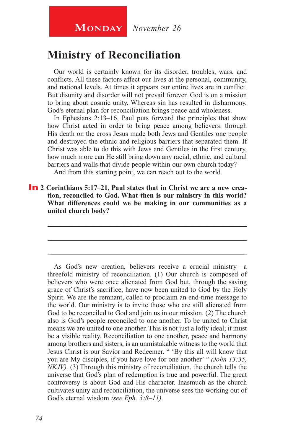## **Ministry of Reconciliation**

Our world is certainly known for its disorder, troubles, wars, and conflicts. All these factors affect our lives at the personal, community, and national levels. At times it appears our entire lives are in conflict. But disunity and disorder will not prevail forever. God is on a mission to bring about cosmic unity. Whereas sin has resulted in disharmony, God's eternal plan for reconciliation brings peace and wholeness.

In Ephesians 2:13*–*16, Paul puts forward the principles that show how Christ acted in order to bring peace among believers: through His death on the cross Jesus made both Jews and Gentiles one people and destroyed the ethnic and religious barriers that separated them. If Christ was able to do this with Jews and Gentiles in the first century, how much more can He still bring down any racial, ethnic, and cultural barriers and walls that divide people within our own church today?

And from this starting point, we can reach out to the world.

In **2 Corinthians 5:17***–***21, Paul states that in Christ we are a new creation, reconciled to God. What then is our ministry in this world? What differences could we be making in our communities as a united church body?**

\_\_\_\_\_\_\_\_\_\_\_\_\_\_\_\_\_\_\_\_\_\_\_\_\_\_\_\_\_\_\_\_\_\_\_\_\_\_\_\_\_\_\_\_\_\_\_\_\_\_\_\_\_

\_\_\_\_\_\_\_\_\_\_\_\_\_\_\_\_\_\_\_\_\_\_\_\_\_\_\_\_\_\_\_\_\_\_\_\_\_\_\_\_\_\_\_\_\_\_\_\_\_\_\_\_\_

\_\_\_\_\_\_\_\_\_\_\_\_\_\_\_\_\_\_\_\_\_\_\_\_\_\_\_\_\_\_\_\_\_\_\_\_\_\_\_\_\_\_\_\_\_\_\_\_\_\_\_\_\_

As God's new creation, believers receive a crucial ministry—a threefold ministry of reconciliation. (1) Our church is composed of believers who were once alienated from God but, through the saving grace of Christ's sacrifice, have now been united to God by the Holy Spirit. We are the remnant, called to proclaim an end-time message to the world. Our ministry is to invite those who are still alienated from God to be reconciled to God and join us in our mission. (2) The church also is God's people reconciled to one another. To be united to Christ means we are united to one another. This is not just a lofty ideal; it must be a visible reality. Reconciliation to one another, peace and harmony among brothers and sisters, is an unmistakable witness to the world that Jesus Christ is our Savior and Redeemer. " 'By this all will know that you are My disciples, if you have love for one another' " *(John 13:35, NKJV).* (3) Through this ministry of reconciliation, the church tells the universe that God's plan of redemption is true and powerful. The great controversy is about God and His character. Inasmuch as the church cultivates unity and reconciliation, the universe sees the working out of God's eternal wisdom *(see Eph. 3:8–11).*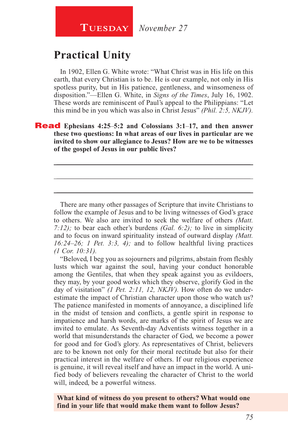## **Practical Unity**

In 1902, Ellen G. White wrote: "What Christ was in His life on this earth, that every Christian is to be. He is our example, not only in His spotless purity, but in His patience, gentleness, and winsomeness of disposition."—Ellen G. White, in *Signs of the Times*, July 16, 1902. These words are reminiscent of Paul's appeal to the Philippians: "Let this mind be in you which was also in Christ Jesus" *(Phil. 2:5, NKJV).*

Read **Ephesians 4:25***–***5:2 and Colossians 3:1***–***17, and then answer these two questions: In what areas of our lives in particular are we invited to show our allegiance to Jesus? How are we to be witnesses of the gospel of Jesus in our public lives?** 

\_\_\_\_\_\_\_\_\_\_\_\_\_\_\_\_\_\_\_\_\_\_\_\_\_\_\_\_\_\_\_\_\_\_\_\_\_\_\_\_\_\_\_\_\_\_\_\_\_\_\_\_\_

\_\_\_\_\_\_\_\_\_\_\_\_\_\_\_\_\_\_\_\_\_\_\_\_\_\_\_\_\_\_\_\_\_\_\_\_\_\_\_\_\_\_\_\_\_\_\_\_\_\_\_\_\_

\_\_\_\_\_\_\_\_\_\_\_\_\_\_\_\_\_\_\_\_\_\_\_\_\_\_\_\_\_\_\_\_\_\_\_\_\_\_\_\_\_\_\_\_\_\_\_\_\_\_\_\_\_

There are many other passages of Scripture that invite Christians to follow the example of Jesus and to be living witnesses of God's grace to others. We also are invited to seek the welfare of others *(Matt. 7:12);* to bear each other's burdens *(Gal. 6:2);* to live in simplicity and to focus on inward spirituality instead of outward display *(Matt. 16:24–26; 1 Pet. 3:3, 4);* and to follow healthful living practices *(1 Cor. 10:31).*

"Beloved, I beg you as sojourners and pilgrims, abstain from fleshly lusts which war against the soul, having your conduct honorable among the Gentiles, that when they speak against you as evildoers, they may, by your good works which they observe, glorify God in the day of visitation" *(1 Pet. 2:11, 12, NKJV).* How often do we underestimate the impact of Christian character upon those who watch us? The patience manifested in moments of annoyance, a disciplined life in the midst of tension and conflicts, a gentle spirit in response to impatience and harsh words, are marks of the spirit of Jesus we are invited to emulate. As Seventh-day Adventists witness together in a world that misunderstands the character of God, we become a power for good and for God's glory. As representatives of Christ, believers are to be known not only for their moral rectitude but also for their practical interest in the welfare of others. If our religious experience is genuine, it will reveal itself and have an impact in the world. A unified body of believers revealing the character of Christ to the world will, indeed, be a powerful witness.

**What kind of witness do you present to others? What would one find in your life that would make them want to follow Jesus?**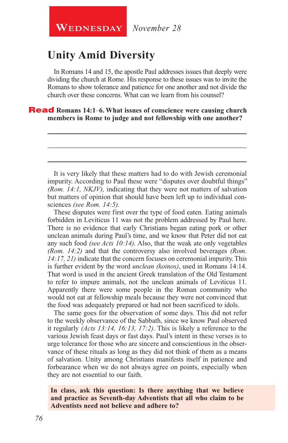## **Unity Amid Diversity**

In Romans 14 and 15, the apostle Paul addresses issues that deeply were dividing the church at Rome. His response to these issues was to invite the Romans to show tolerance and patience for one another and not divide the church over these concerns. What can we learn from his counsel?

\_\_\_\_\_\_\_\_\_\_\_\_\_\_\_\_\_\_\_\_\_\_\_\_\_\_\_\_\_\_\_\_\_\_\_\_\_\_\_\_\_\_\_\_\_\_\_\_\_\_\_\_\_

\_\_\_\_\_\_\_\_\_\_\_\_\_\_\_\_\_\_\_\_\_\_\_\_\_\_\_\_\_\_\_\_\_\_\_\_\_\_\_\_\_\_\_\_\_\_\_\_\_\_\_\_\_

\_\_\_\_\_\_\_\_\_\_\_\_\_\_\_\_\_\_\_\_\_\_\_\_\_\_\_\_\_\_\_\_\_\_\_\_\_\_\_\_\_\_\_\_\_\_\_\_\_\_\_\_\_

#### Read **Romans 14:1***–***6. What issues of conscience were causing church members in Rome to judge and not fellowship with one another?**

It is very likely that these matters had to do with Jewish ceremonial impurity. According to Paul these were "disputes over doubtful things" *(Rom. 14:1, NKJV),* indicating that they were not matters of salvation but matters of opinion that should have been left up to individual consciences *(see Rom. 14:5).*

These disputes were first over the type of food eaten. Eating animals forbidden in Leviticus 11 was not the problem addressed by Paul here. There is no evidence that early Christians began eating pork or other unclean animals during Paul's time, and we know that Peter did not eat any such food *(see Acts 10:14).* Also, that the weak ate only vegetables *(Rom. 14:2)* and that the controversy also involved beverages *(Rom. 14:17, 21)* indicate that the concern focuses on ceremonial impurity. This is further evident by the word *unclean (koinos)*, used in Romans 14:14. That word is used in the ancient Greek translation of the Old Testament to refer to impure animals, not the unclean animals of Leviticus 11. Apparently there were some people in the Roman community who would not eat at fellowship meals because they were not convinced that the food was adequately prepared or had not been sacrificed to idols.

The same goes for the observation of some days. This did not refer to the weekly observance of the Sabbath, since we know Paul observed it regularly *(Acts 13:14, 16:13, 17:2)*. This is likely a reference to the various Jewish feast days or fast days. Paul's intent in these verses is to urge tolerance for those who are sincere and conscientious in the observance of these rituals as long as they did not think of them as a means of salvation. Unity among Christians manifests itself in patience and forbearance when we do not always agree on points, especially when they are not essential to our faith.

#### **In class, ask this question: Is there anything that we believe and practice as Seventh-day Adventists that all who claim to be Adventists need not believe and adhere to?**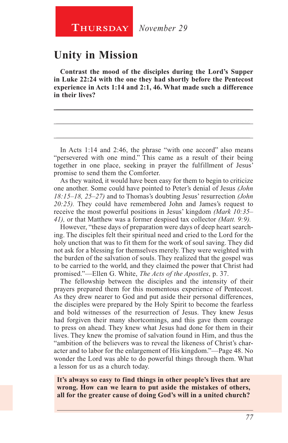## **Unity in Mission**

**Contrast the mood of the disciples during the Lord's Supper in Luke 22:24 with the one they had shortly before the Pentecost experience in Acts 1:14 and 2:1, 46. What made such a difference in their lives?**

\_\_\_\_\_\_\_\_\_\_\_\_\_\_\_\_\_\_\_\_\_\_\_\_\_\_\_\_\_\_\_\_\_\_\_\_\_\_\_\_\_\_\_\_\_\_\_\_\_\_\_\_\_\_

\_\_\_\_\_\_\_\_\_\_\_\_\_\_\_\_\_\_\_\_\_\_\_\_\_\_\_\_\_\_\_\_\_\_\_\_\_\_\_\_\_\_\_\_\_\_\_\_\_\_\_\_\_\_

\_\_\_\_\_\_\_\_\_\_\_\_\_\_\_\_\_\_\_\_\_\_\_\_\_\_\_\_\_\_\_\_\_\_\_\_\_\_\_\_\_\_\_\_\_\_\_\_\_\_\_\_\_\_

In Acts 1:14 and 2:46, the phrase "with one accord" also means "persevered with one mind." This came as a result of their being together in one place, seeking in prayer the fulfillment of Jesus' promise to send them the Comforter.

As they waited, it would have been easy for them to begin to criticize one another. Some could have pointed to Peter's denial of Jesus *(John 18:15–18, 25–27)* and to Thomas's doubting Jesus' resurrection *(John 20:25).* They could have remembered John and James's request to receive the most powerful positions in Jesus' kingdom *(Mark 10:35– 41),* or that Matthew was a former despised tax collector *(Matt. 9:9).*

However, "these days of preparation were days of deep heart searching. The disciples felt their spiritual need and cried to the Lord for the holy unction that was to fit them for the work of soul saving. They did not ask for a blessing for themselves merely. They were weighted with the burden of the salvation of souls. They realized that the gospel was to be carried to the world, and they claimed the power that Christ had promised."—Ellen G. White, *The Acts of the Apostles*, p. 37.

The fellowship between the disciples and the intensity of their prayers prepared them for this momentous experience of Pentecost. As they drew nearer to God and put aside their personal differences, the disciples were prepared by the Holy Spirit to become the fearless and bold witnesses of the resurrection of Jesus. They knew Jesus had forgiven their many shortcomings, and this gave them courage to press on ahead. They knew what Jesus had done for them in their lives. They knew the promise of salvation found in Him, and thus the "ambition of the believers was to reveal the likeness of Christ's character and to labor for the enlargement of His kingdom."—Page 48. No wonder the Lord was able to do powerful things through them. What a lesson for us as a church today.

**It's always so easy to find things in other people's lives that are wrong. How can we learn to put aside the mistakes of others, all for the greater cause of doing God's will in a united church?**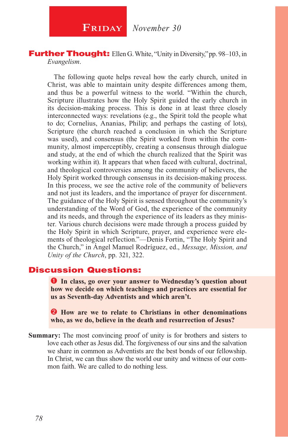**FRIDAY** November 30

#### Further Thought: Ellen G. White, "Unity in Diversity," pp. 98*–*103, in *Evangelism*.

The following quote helps reveal how the early church, united in Christ, was able to maintain unity despite differences among them, and thus be a powerful witness to the world. "Within the church, Scripture illustrates how the Holy Spirit guided the early church in its decision-making process. This is done in at least three closely interconnected ways: revelations (e.g., the Spirit told the people what to do; Cornelius, Ananias, Philip; and perhaps the casting of lots), Scripture (the church reached a conclusion in which the Scripture was used), and consensus (the Spirit worked from within the community, almost imperceptibly, creating a consensus through dialogue and study, at the end of which the church realized that the Spirit was working within it). It appears that when faced with cultural, doctrinal, and theological controversies among the community of believers, the Holy Spirit worked through consensus in its decision-making process. In this process, we see the active role of the community of believers and not just its leaders, and the importance of prayer for discernment. The guidance of the Holy Spirit is sensed throughout the community's understanding of the Word of God, the experience of the community and its needs, and through the experience of its leaders as they minister. Various church decisions were made through a process guided by the Holy Spirit in which Scripture, prayer, and experience were elements of theological reflection."—Denis Fortin, "The Holy Spirit and the Church," in Ángel Manuel Rodríguez, ed., *Message, Mission, and Unity of the Church*, pp. 321, 322.

#### Discussion Questions:

**In class, go over your answer to Wednesday's question about how we decide on which teachings and practices are essential for us as Seventh-day Adventists and which aren't.**

**2** How are we to relate to Christians in other denominations **who, as we do, believe in the death and resurrection of Jesus?**

**Summary:** The most convincing proof of unity is for brothers and sisters to love each other as Jesus did. The forgiveness of our sins and the salvation we share in common as Adventists are the best bonds of our fellowship. In Christ, we can thus show the world our unity and witness of our common faith. We are called to do nothing less.